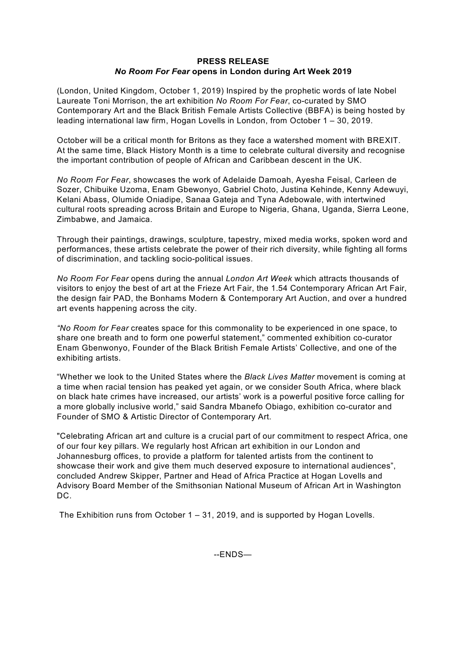## **PRESS RELEASE** *No Room For Fear* **opens in London during Art Week 2019**

(London, United Kingdom, October 1, 2019) Inspired by the prophetic words of late Nobel Laureate Toni Morrison, the art exhibition *No Room For Fear*, co-curated by SMO Contemporary Art and the Black British Female Artists Collective (BBFA) is being hosted by leading international law firm, Hogan Lovells in London, from October 1 – 30, 2019.

October will be a critical month for Britons as they face a watershed moment with BREXIT. At the same time, Black History Month is a time to celebrate cultural diversity and recognise the important contribution of people of African and Caribbean descent in the UK.

*No Room For Fear*, showcases the work of Adelaide Damoah, Ayesha Feisal, Carleen de Sozer, Chibuike Uzoma, Enam Gbewonyo, Gabriel Choto, Justina Kehinde, Kenny Adewuyi, Kelani Abass, Olumide Oniadipe, Sanaa Gateja and Tyna Adebowale, with intertwined cultural roots spreading across Britain and Europe to Nigeria, Ghana, Uganda, Sierra Leone, Zimbabwe, and Jamaica.

Through their paintings, drawings, sculpture, tapestry, mixed media works, spoken word and performances, these artists celebrate the power of their rich diversity, while fighting all forms of discrimination, and tackling socio-political issues.

*No Room For Fear* opens during the annual *London Art Week* which attracts thousands of visitors to enjoy the best of art at the Frieze Art Fair, the 1.54 Contemporary African Art Fair, the design fair PAD, the Bonhams Modern & Contemporary Art Auction, and over a hundred art events happening across the city.

*"No Room for Fear* creates space for this commonality to be experienced in one space, to share one breath and to form one powerful statement," commented exhibition co-curator Enam Gbenwonyo, Founder of the Black British Female Artists' Collective, and one of the exhibiting artists.

"Whether we look to the United States where the *Black Lives Matter* movement is coming at a time when racial tension has peaked yet again, or we consider South Africa, where black on black hate crimes have increased, our artists' work is a powerful positive force calling for a more globally inclusive world," said Sandra Mbanefo Obiago, exhibition co-curator and Founder of SMO & Artistic Director of Contemporary Art.

"Celebrating African art and culture is a crucial part of our commitment to respect Africa, one of our four key pillars. We regularly host African art exhibition in our London and Johannesburg offices, to provide a platform for talented artists from the continent to showcase their work and give them much deserved exposure to international audiences", concluded Andrew Skipper, Partner and Head of Africa Practice at Hogan Lovells and Advisory Board Member of the Smithsonian National Museum of African Art in Washington DC.

The Exhibition runs from October 1 – 31, 2019, and is supported by Hogan Lovells.

--ENDS—